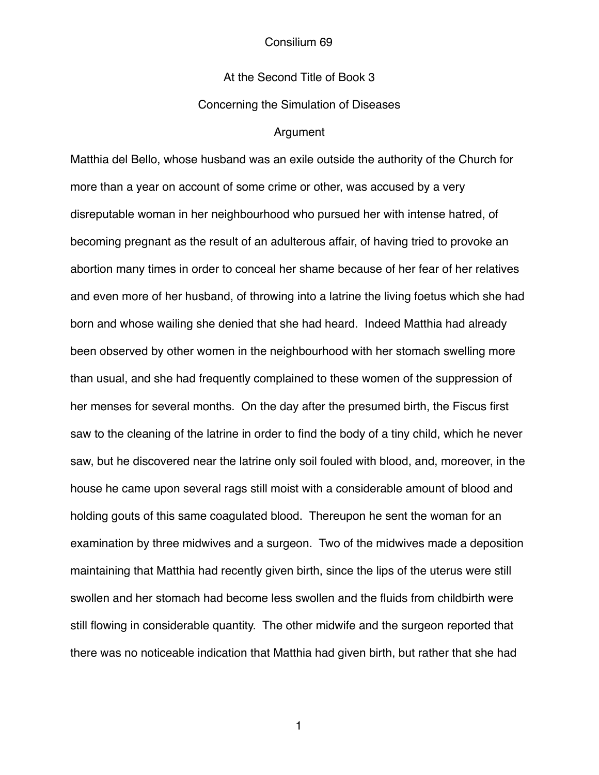## At the Second Title of Book 3

## Concerning the Simulation of Diseases

### Argument

Matthia del Bello, whose husband was an exile outside the authority of the Church for more than a year on account of some crime or other, was accused by a very disreputable woman in her neighbourhood who pursued her with intense hatred, of becoming pregnant as the result of an adulterous affair, of having tried to provoke an abortion many times in order to conceal her shame because of her fear of her relatives and even more of her husband, of throwing into a latrine the living foetus which she had born and whose wailing she denied that she had heard. Indeed Matthia had already been observed by other women in the neighbourhood with her stomach swelling more than usual, and she had frequently complained to these women of the suppression of her menses for several months. On the day after the presumed birth, the Fiscus first saw to the cleaning of the latrine in order to find the body of a tiny child, which he never saw, but he discovered near the latrine only soil fouled with blood, and, moreover, in the house he came upon several rags still moist with a considerable amount of blood and holding gouts of this same coagulated blood. Thereupon he sent the woman for an examination by three midwives and a surgeon. Two of the midwives made a deposition maintaining that Matthia had recently given birth, since the lips of the uterus were still swollen and her stomach had become less swollen and the fluids from childbirth were still flowing in considerable quantity. The other midwife and the surgeon reported that there was no noticeable indication that Matthia had given birth, but rather that she had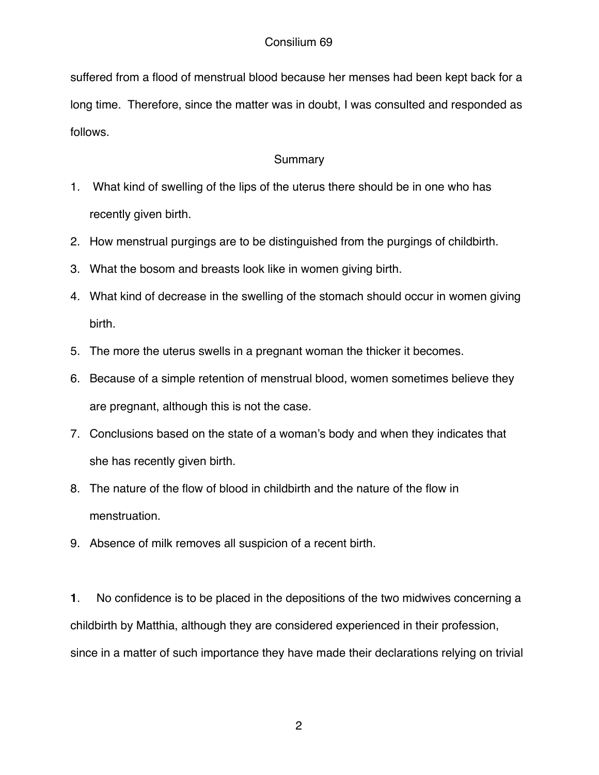suffered from a flood of menstrual blood because her menses had been kept back for a long time. Therefore, since the matter was in doubt, I was consulted and responded as follows.

# Summary

- 1. What kind of swelling of the lips of the uterus there should be in one who has recently given birth.
- 2. How menstrual purgings are to be distinguished from the purgings of childbirth.
- 3. What the bosom and breasts look like in women giving birth.
- 4. What kind of decrease in the swelling of the stomach should occur in women giving birth.
- 5. The more the uterus swells in a pregnant woman the thicker it becomes.
- 6. Because of a simple retention of menstrual blood, women sometimes believe they are pregnant, although this is not the case.
- 7. Conclusions based on the state of a woman's body and when they indicates that she has recently given birth.
- 8. The nature of the flow of blood in childbirth and the nature of the flow in menstruation.
- 9. Absence of milk removes all suspicion of a recent birth.

**1**. No confidence is to be placed in the depositions of the two midwives concerning a childbirth by Matthia, although they are considered experienced in their profession, since in a matter of such importance they have made their declarations relying on trivial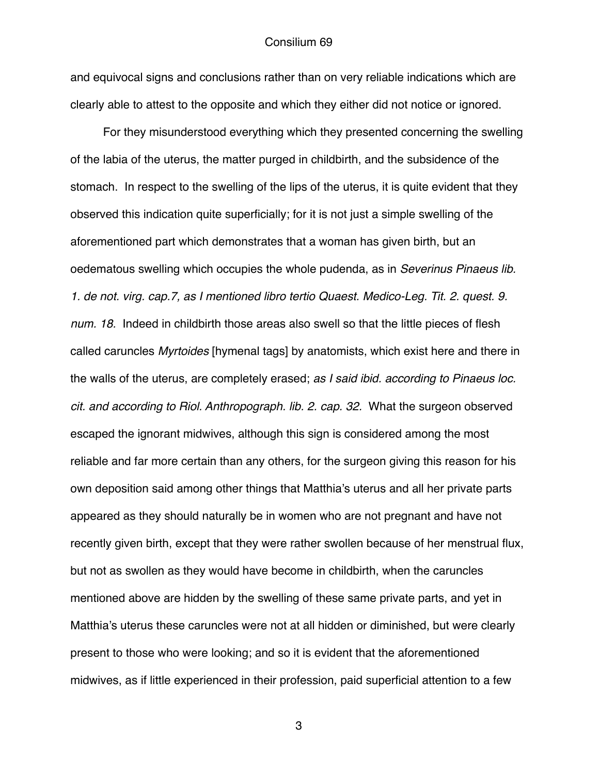and equivocal signs and conclusions rather than on very reliable indications which are clearly able to attest to the opposite and which they either did not notice or ignored.

 For they misunderstood everything which they presented concerning the swelling of the labia of the uterus, the matter purged in childbirth, and the subsidence of the stomach. In respect to the swelling of the lips of the uterus, it is quite evident that they observed this indication quite superficially; for it is not just a simple swelling of the aforementioned part which demonstrates that a woman has given birth, but an oedematous swelling which occupies the whole pudenda, as in *Severinus Pinaeus lib. 1. de not. virg. cap.7, as I mentioned libro tertio Quaest. Medico-Leg. Tit. 2. quest. 9. num. 18.* Indeed in childbirth those areas also swell so that the little pieces of flesh called caruncles *Myrtoides* [hymenal tags] by anatomists, which exist here and there in the walls of the uterus, are completely erased; *as I said ibid. according to Pinaeus loc. cit. and according to Riol. Anthropograph. lib. 2. cap. 32.* What the surgeon observed escaped the ignorant midwives, although this sign is considered among the most reliable and far more certain than any others, for the surgeon giving this reason for his own deposition said among other things that Matthia's uterus and all her private parts appeared as they should naturally be in women who are not pregnant and have not recently given birth, except that they were rather swollen because of her menstrual flux, but not as swollen as they would have become in childbirth, when the caruncles mentioned above are hidden by the swelling of these same private parts, and yet in Matthia's uterus these caruncles were not at all hidden or diminished, but were clearly present to those who were looking; and so it is evident that the aforementioned midwives, as if little experienced in their profession, paid superficial attention to a few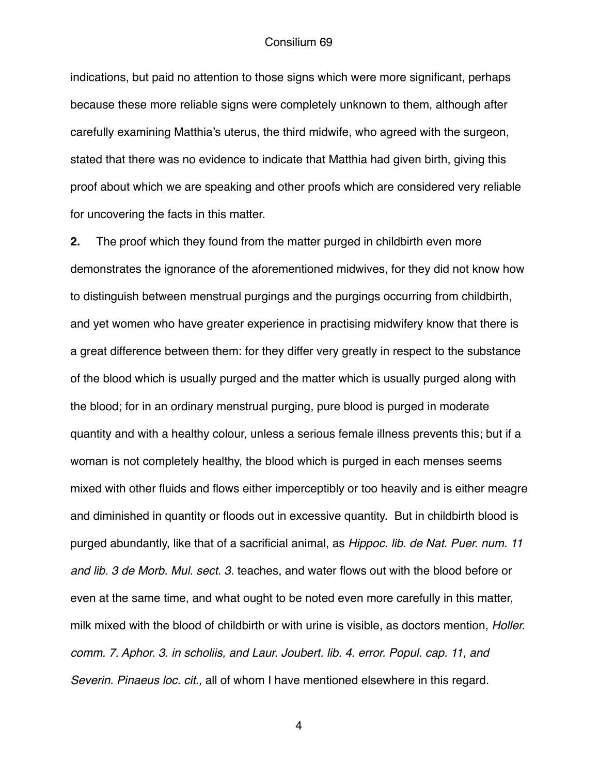indications, but paid no attention to those signs which were more significant, perhaps because these more reliable signs were completely unknown to them, although after carefully examining Matthia's uterus, the third midwife, who agreed with the surgeon, stated that there was no evidence to indicate that Matthia had given birth, giving this proof about which we are speaking and other proofs which are considered very reliable for uncovering the facts in this matter.

**2.** The proof which they found from the matter purged in childbirth even more demonstrates the ignorance of the aforementioned midwives, for they did not know how to distinguish between menstrual purgings and the purgings occurring from childbirth, and yet women who have greater experience in practising midwifery know that there is a great difference between them: for they differ very greatly in respect to the substance of the blood which is usually purged and the matter which is usually purged along with the blood; for in an ordinary menstrual purging, pure blood is purged in moderate quantity and with a healthy colour, unless a serious female illness prevents this; but if a woman is not completely healthy, the blood which is purged in each menses seems mixed with other fluids and flows either imperceptibly or too heavily and is either meagre and diminished in quantity or floods out in excessive quantity. But in childbirth blood is purged abundantly, like that of a sacrificial animal, as *Hippoc. lib. de Nat. Puer. num. 11 and lib. 3 de Morb. Mul. sect. 3.* teaches, and water flows out with the blood before or even at the same time, and what ought to be noted even more carefully in this matter, milk mixed with the blood of childbirth or with urine is visible, as doctors mention, *Holler. comm. 7. Aphor. 3. in scholiis, and Laur. Joubert. lib. 4. error. Popul. cap. 11, and Severin. Pinaeus loc. cit.,* all of whom I have mentioned elsewhere in this regard.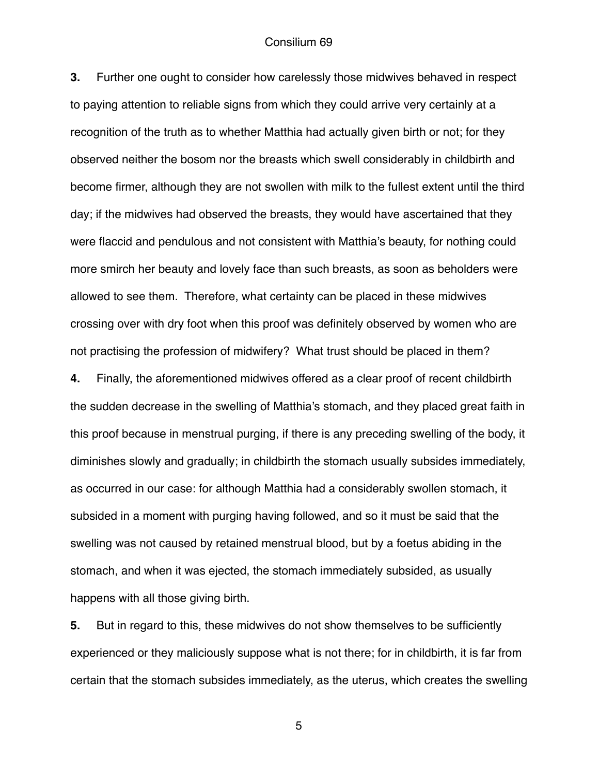**3.** Further one ought to consider how carelessly those midwives behaved in respect to paying attention to reliable signs from which they could arrive very certainly at a recognition of the truth as to whether Matthia had actually given birth or not; for they observed neither the bosom nor the breasts which swell considerably in childbirth and become firmer, although they are not swollen with milk to the fullest extent until the third day; if the midwives had observed the breasts, they would have ascertained that they were flaccid and pendulous and not consistent with Matthia's beauty, for nothing could more smirch her beauty and lovely face than such breasts, as soon as beholders were allowed to see them. Therefore, what certainty can be placed in these midwives crossing over with dry foot when this proof was definitely observed by women who are not practising the profession of midwifery? What trust should be placed in them?

**4.** Finally, the aforementioned midwives offered as a clear proof of recent childbirth the sudden decrease in the swelling of Matthia's stomach, and they placed great faith in this proof because in menstrual purging, if there is any preceding swelling of the body, it diminishes slowly and gradually; in childbirth the stomach usually subsides immediately, as occurred in our case: for although Matthia had a considerably swollen stomach, it subsided in a moment with purging having followed, and so it must be said that the swelling was not caused by retained menstrual blood, but by a foetus abiding in the stomach, and when it was ejected, the stomach immediately subsided, as usually happens with all those giving birth.

**5.** But in regard to this, these midwives do not show themselves to be sufficiently experienced or they maliciously suppose what is not there; for in childbirth, it is far from certain that the stomach subsides immediately, as the uterus, which creates the swelling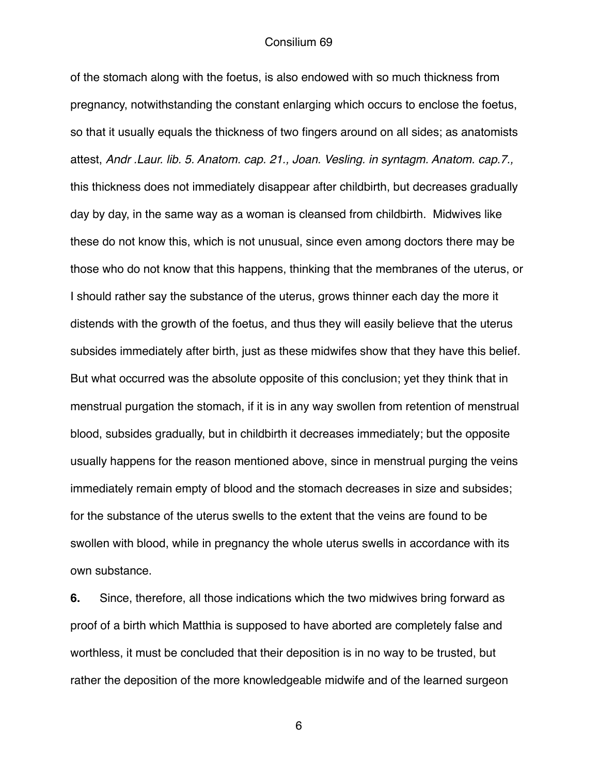of the stomach along with the foetus, is also endowed with so much thickness from pregnancy, notwithstanding the constant enlarging which occurs to enclose the foetus, so that it usually equals the thickness of two fingers around on all sides; as anatomists attest, *Andr .Laur. lib. 5. Anatom. cap. 21., Joan. Vesling. in syntagm. Anatom. cap.7.,* this thickness does not immediately disappear after childbirth, but decreases gradually day by day, in the same way as a woman is cleansed from childbirth. Midwives like these do not know this, which is not unusual, since even among doctors there may be those who do not know that this happens, thinking that the membranes of the uterus, or I should rather say the substance of the uterus, grows thinner each day the more it distends with the growth of the foetus, and thus they will easily believe that the uterus subsides immediately after birth, just as these midwifes show that they have this belief. But what occurred was the absolute opposite of this conclusion; yet they think that in menstrual purgation the stomach, if it is in any way swollen from retention of menstrual blood, subsides gradually, but in childbirth it decreases immediately; but the opposite usually happens for the reason mentioned above, since in menstrual purging the veins immediately remain empty of blood and the stomach decreases in size and subsides; for the substance of the uterus swells to the extent that the veins are found to be swollen with blood, while in pregnancy the whole uterus swells in accordance with its own substance.

**6.** Since, therefore, all those indications which the two midwives bring forward as proof of a birth which Matthia is supposed to have aborted are completely false and worthless, it must be concluded that their deposition is in no way to be trusted, but rather the deposition of the more knowledgeable midwife and of the learned surgeon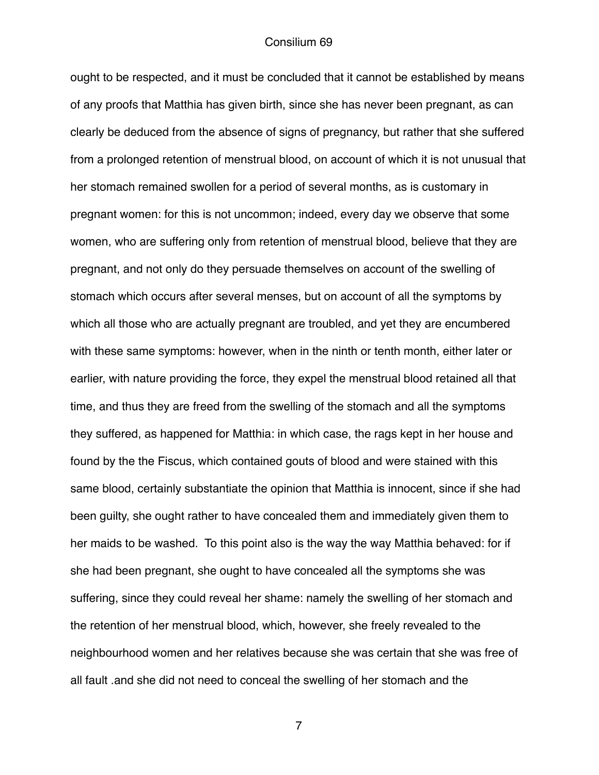ought to be respected, and it must be concluded that it cannot be established by means of any proofs that Matthia has given birth, since she has never been pregnant, as can clearly be deduced from the absence of signs of pregnancy, but rather that she suffered from a prolonged retention of menstrual blood, on account of which it is not unusual that her stomach remained swollen for a period of several months, as is customary in pregnant women: for this is not uncommon; indeed, every day we observe that some women, who are suffering only from retention of menstrual blood, believe that they are pregnant, and not only do they persuade themselves on account of the swelling of stomach which occurs after several menses, but on account of all the symptoms by which all those who are actually pregnant are troubled, and yet they are encumbered with these same symptoms: however, when in the ninth or tenth month, either later or earlier, with nature providing the force, they expel the menstrual blood retained all that time, and thus they are freed from the swelling of the stomach and all the symptoms they suffered, as happened for Matthia: in which case, the rags kept in her house and found by the the Fiscus, which contained gouts of blood and were stained with this same blood, certainly substantiate the opinion that Matthia is innocent, since if she had been guilty, she ought rather to have concealed them and immediately given them to her maids to be washed. To this point also is the way the way Matthia behaved: for if she had been pregnant, she ought to have concealed all the symptoms she was suffering, since they could reveal her shame: namely the swelling of her stomach and the retention of her menstrual blood, which, however, she freely revealed to the neighbourhood women and her relatives because she was certain that she was free of all fault .and she did not need to conceal the swelling of her stomach and the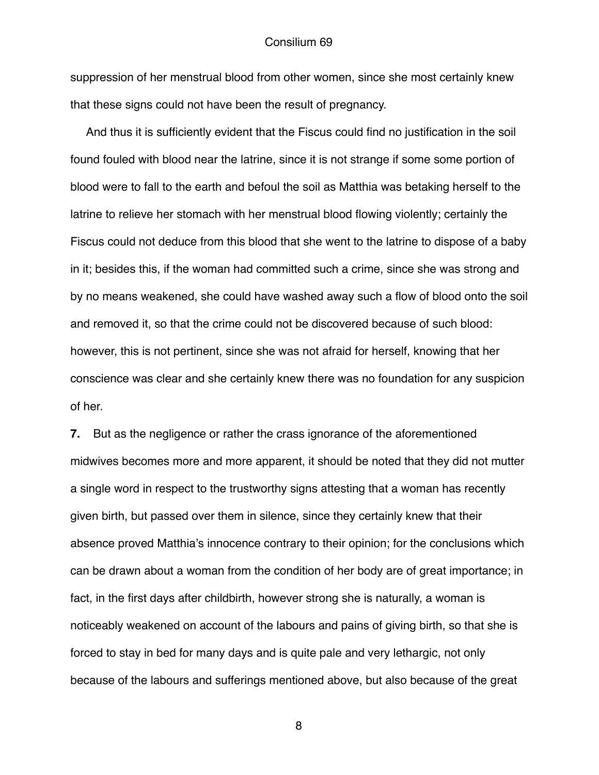suppression of her menstrual blood from other women, since she most certainly knew that these signs could not have been the result of pregnancy.

 And thus it is sufficiently evident that the Fiscus could find no justification in the soil found fouled with blood near the latrine, since it is not strange if some some portion of blood were to fall to the earth and befoul the soil as Matthia was betaking herself to the latrine to relieve her stomach with her menstrual blood flowing violently; certainly the Fiscus could not deduce from this blood that she went to the latrine to dispose of a baby in it; besides this, if the woman had committed such a crime, since she was strong and by no means weakened, she could have washed away such a flow of blood onto the soil and removed it, so that the crime could not be discovered because of such blood: however, this is not pertinent, since she was not afraid for herself, knowing that her conscience was clear and she certainly knew there was no foundation for any suspicion of her.

**7.** But as the negligence or rather the crass ignorance of the aforementioned midwives becomes more and more apparent, it should be noted that they did not mutter a single word in respect to the trustworthy signs attesting that a woman has recently given birth, but passed over them in silence, since they certainly knew that their absence proved Matthia's innocence contrary to their opinion; for the conclusions which can be drawn about a woman from the condition of her body are of great importance; in fact, in the first days after childbirth, however strong she is naturally, a woman is noticeably weakened on account of the labours and pains of giving birth, so that she is forced to stay in bed for many days and is quite pale and very lethargic, not only because of the labours and sufferings mentioned above, but also because of the great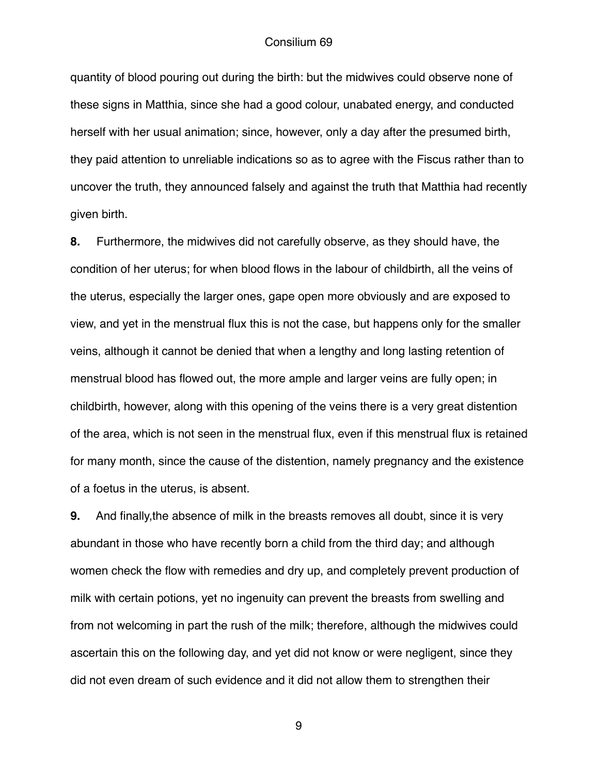quantity of blood pouring out during the birth: but the midwives could observe none of these signs in Matthia, since she had a good colour, unabated energy, and conducted herself with her usual animation; since, however, only a day after the presumed birth, they paid attention to unreliable indications so as to agree with the Fiscus rather than to uncover the truth, they announced falsely and against the truth that Matthia had recently given birth.

**8.** Furthermore, the midwives did not carefully observe, as they should have, the condition of her uterus; for when blood flows in the labour of childbirth, all the veins of the uterus, especially the larger ones, gape open more obviously and are exposed to view, and yet in the menstrual flux this is not the case, but happens only for the smaller veins, although it cannot be denied that when a lengthy and long lasting retention of menstrual blood has flowed out, the more ample and larger veins are fully open; in childbirth, however, along with this opening of the veins there is a very great distention of the area, which is not seen in the menstrual flux, even if this menstrual flux is retained for many month, since the cause of the distention, namely pregnancy and the existence of a foetus in the uterus, is absent.

**9.** And finally,the absence of milk in the breasts removes all doubt, since it is very abundant in those who have recently born a child from the third day; and although women check the flow with remedies and dry up, and completely prevent production of milk with certain potions, yet no ingenuity can prevent the breasts from swelling and from not welcoming in part the rush of the milk; therefore, although the midwives could ascertain this on the following day, and yet did not know or were negligent, since they did not even dream of such evidence and it did not allow them to strengthen their